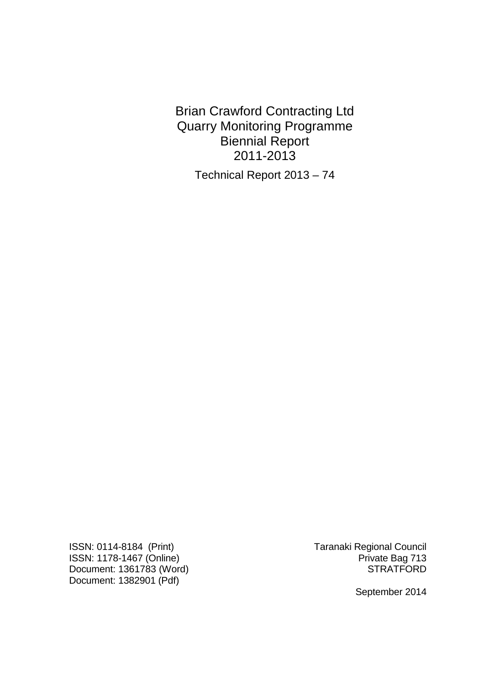Brian Crawford Contracting Ltd Quarry Monitoring Programme Biennial Report 2011-2013

Technical Report 2013 – 74

ISSN: 0114-8184 (Print)<br>ISSN: 1178-1467 (Online) Taranaki Regional Council<br>Private Bag 713 ISSN: 1178-1467 (Online)<br>Document: 1361783 (Word) Private Bag 713 Document:  $1361783$  (Word) Document: 1382901 (Pdf)

September 2014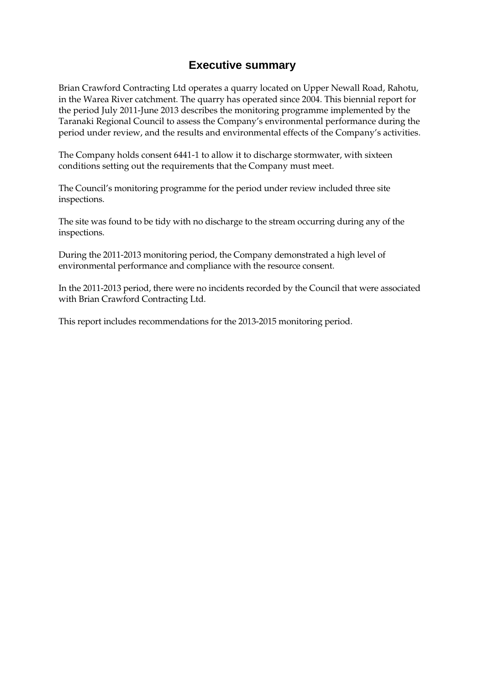## **Executive summary**

Brian Crawford Contracting Ltd operates a quarry located on Upper Newall Road, Rahotu, in the Warea River catchment. The quarry has operated since 2004. This biennial report for the period July 2011-June 2013 describes the monitoring programme implemented by the Taranaki Regional Council to assess the Company's environmental performance during the period under review, and the results and environmental effects of the Company's activities.

The Company holds consent 6441-1 to allow it to discharge stormwater, with sixteen conditions setting out the requirements that the Company must meet.

The Council's monitoring programme for the period under review included three site inspections.

The site was found to be tidy with no discharge to the stream occurring during any of the inspections.

During the 2011-2013 monitoring period, the Company demonstrated a high level of environmental performance and compliance with the resource consent.

In the 2011-2013 period, there were no incidents recorded by the Council that were associated with Brian Crawford Contracting Ltd.

This report includes recommendations for the 2013-2015 monitoring period.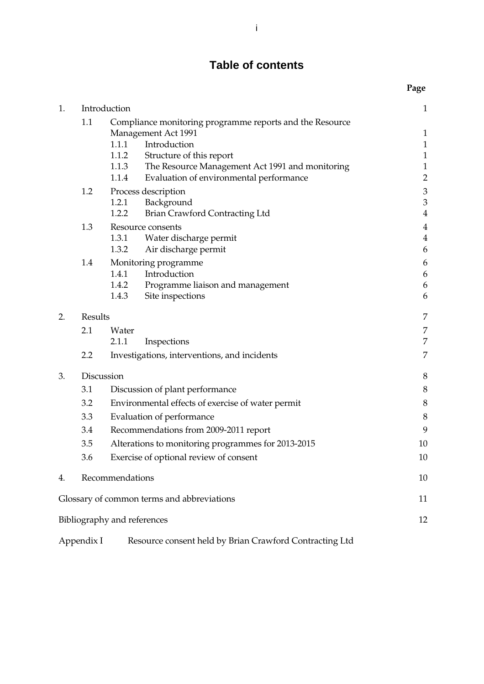# **Table of contents**

|    |                                                           |                                                                                                                                                                                                                                                            | Page                                                                         |
|----|-----------------------------------------------------------|------------------------------------------------------------------------------------------------------------------------------------------------------------------------------------------------------------------------------------------------------------|------------------------------------------------------------------------------|
| 1. |                                                           | Introduction                                                                                                                                                                                                                                               | $\mathbf{1}$                                                                 |
|    | 1.1                                                       | Compliance monitoring programme reports and the Resource<br>Management Act 1991<br>1.1.1 Introduction<br>1.1.2<br>Structure of this report<br>1.1.3<br>The Resource Management Act 1991 and monitoring<br>1.1.4<br>Evaluation of environmental performance | $\mathbf{1}$<br>$\mathbf{1}$<br>$\mathbf 1$<br>$\mathbf 1$<br>$\overline{2}$ |
|    | 1.2                                                       | Process description<br>1.2.1<br>Background<br>1.2.2<br><b>Brian Crawford Contracting Ltd</b>                                                                                                                                                               | $\mathfrak{Z}$<br>$\mathfrak{Z}$<br>$\overline{4}$                           |
|    | 1.3                                                       | Resource consents<br>1.3.1<br>Water discharge permit<br>1.3.2<br>Air discharge permit                                                                                                                                                                      | $\overline{4}$<br>$\overline{4}$<br>6                                        |
|    | 1.4                                                       | Monitoring programme<br>Introduction<br>1.4.1<br>1.4.2 Programme liaison and management<br>1.4.3<br>Site inspections                                                                                                                                       | 6<br>6<br>6<br>6                                                             |
| 2. | Results                                                   |                                                                                                                                                                                                                                                            | 7                                                                            |
|    | 2.1                                                       | Water                                                                                                                                                                                                                                                      | 7                                                                            |
|    |                                                           | 2.1.1<br>Inspections                                                                                                                                                                                                                                       | 7                                                                            |
|    | 2.2                                                       | Investigations, interventions, and incidents                                                                                                                                                                                                               | 7                                                                            |
| 3. | Discussion                                                |                                                                                                                                                                                                                                                            | 8                                                                            |
|    | 3.1<br>Discussion of plant performance                    |                                                                                                                                                                                                                                                            | $\,$ 8 $\,$                                                                  |
|    | 3.2<br>Environmental effects of exercise of water permit  |                                                                                                                                                                                                                                                            | $\,$ 8 $\,$                                                                  |
|    | 3.3<br>Evaluation of performance                          |                                                                                                                                                                                                                                                            | 8                                                                            |
|    | 3.4<br>Recommendations from 2009-2011 report              |                                                                                                                                                                                                                                                            | 9                                                                            |
|    | Alterations to monitoring programmes for 2013-2015<br>3.5 |                                                                                                                                                                                                                                                            | 10                                                                           |
|    | Exercise of optional review of consent<br>3.6             |                                                                                                                                                                                                                                                            | 10                                                                           |
| 4. |                                                           | Recommendations                                                                                                                                                                                                                                            | 10                                                                           |
|    |                                                           | Glossary of common terms and abbreviations                                                                                                                                                                                                                 | 11                                                                           |
|    |                                                           | Bibliography and references                                                                                                                                                                                                                                | 12                                                                           |
|    | Appendix I                                                | Resource consent held by Brian Crawford Contracting Ltd                                                                                                                                                                                                    |                                                                              |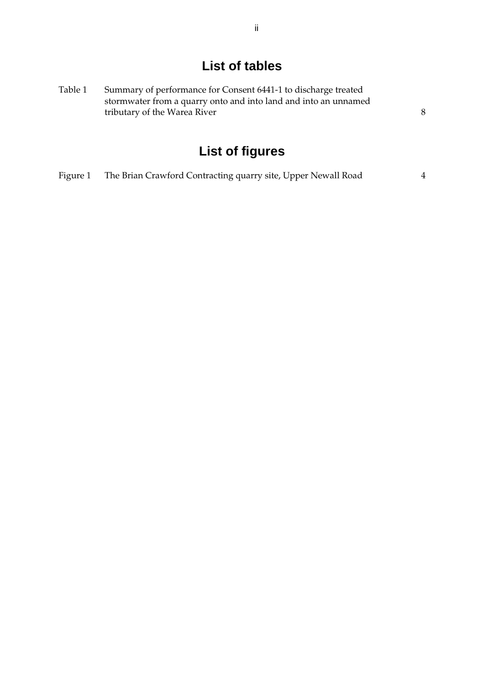# **List of tables**

| Table 1 | Summary of performance for Consent 6441-1 to discharge treated  |  |  |
|---------|-----------------------------------------------------------------|--|--|
|         | stormwater from a quarry onto and into land and into an unnamed |  |  |
|         | tributary of the Warea River                                    |  |  |
|         |                                                                 |  |  |

# **List of figures**

| Figure 1 | The Brian Crawford Contracting quarry site, Upper Newall Road |  |
|----------|---------------------------------------------------------------|--|
|          |                                                               |  |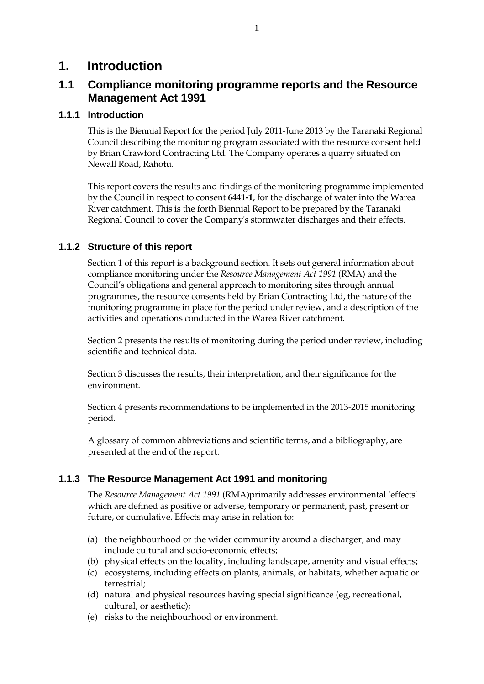# **1. Introduction**

## **1.1 Compliance monitoring programme reports and the Resource Management Act 1991**

#### **1.1.1 Introduction**

This is the Biennial Report for the period July 2011-June 2013 by the Taranaki Regional Council describing the monitoring program associated with the resource consent held by Brian Crawford Contracting Ltd. The Company operates a quarry situated on Newall Road, Rahotu.

This report covers the results and findings of the monitoring programme implemented by the Council in respect to consent **6441-1**, for the discharge of water into the Warea River catchment. This is the forth Biennial Report to be prepared by the Taranaki Regional Council to cover the Company's stormwater discharges and their effects.

#### **1.1.2 Structure of this report**

Section 1 of this report is a background section. It sets out general information about compliance monitoring under the *Resource Management Act 1991* (RMA) and the Council's obligations and general approach to monitoring sites through annual programmes, the resource consents held by Brian Contracting Ltd, the nature of the monitoring programme in place for the period under review, and a description of the activities and operations conducted in the Warea River catchment.

Section 2 presents the results of monitoring during the period under review, including scientific and technical data.

Section 3 discusses the results, their interpretation, and their significance for the environment.

Section 4 presents recommendations to be implemented in the 2013-2015 monitoring period.

A glossary of common abbreviations and scientific terms, and a bibliography, are presented at the end of the report.

#### **1.1.3 The Resource Management Act 1991 and monitoring**

The *Resource Management Act 1991* (RMA)primarily addresses environmental 'effects' which are defined as positive or adverse, temporary or permanent, past, present or future, or cumulative. Effects may arise in relation to:

- (a) the neighbourhood or the wider community around a discharger, and may include cultural and socio-economic effects;
- (b) physical effects on the locality, including landscape, amenity and visual effects;
- (c) ecosystems, including effects on plants, animals, or habitats, whether aquatic or terrestrial;
- (d) natural and physical resources having special significance (eg, recreational, cultural, or aesthetic);
- (e) risks to the neighbourhood or environment.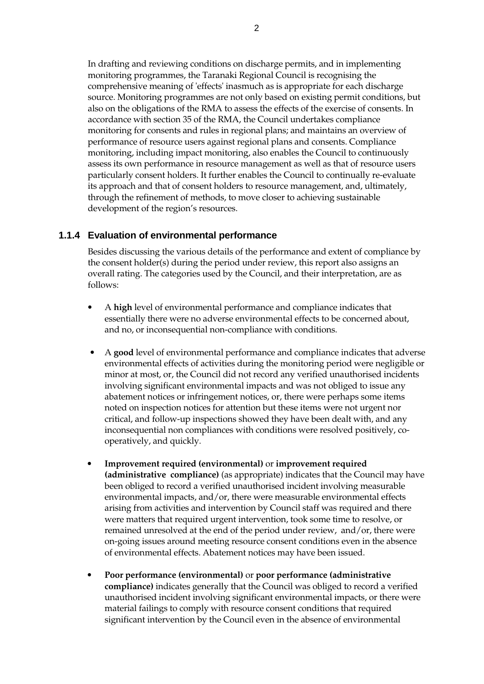In drafting and reviewing conditions on discharge permits, and in implementing monitoring programmes, the Taranaki Regional Council is recognising the comprehensive meaning of 'effects' inasmuch as is appropriate for each discharge source. Monitoring programmes are not only based on existing permit conditions, but also on the obligations of the RMA to assess the effects of the exercise of consents. In accordance with section 35 of the RMA, the Council undertakes compliance monitoring for consents and rules in regional plans; and maintains an overview of performance of resource users against regional plans and consents. Compliance monitoring, including impact monitoring, also enables the Council to continuously assess its own performance in resource management as well as that of resource users particularly consent holders. It further enables the Council to continually re-evaluate its approach and that of consent holders to resource management, and, ultimately, through the refinement of methods, to move closer to achieving sustainable development of the region's resources.

#### **1.1.4 Evaluation of environmental performance**

Besides discussing the various details of the performance and extent of compliance by the consent holder(s) during the period under review, this report also assigns an overall rating. The categories used by the Council, and their interpretation, are as follows:

- A **high** level of environmental performance and compliance indicates that essentially there were no adverse environmental effects to be concerned about, and no, or inconsequential non-compliance with conditions.
- A **good** level of environmental performance and compliance indicates that adverse environmental effects of activities during the monitoring period were negligible or minor at most, or, the Council did not record any verified unauthorised incidents involving significant environmental impacts and was not obliged to issue any abatement notices or infringement notices, or, there were perhaps some items noted on inspection notices for attention but these items were not urgent nor critical, and follow-up inspections showed they have been dealt with, and any inconsequential non compliances with conditions were resolved positively, cooperatively, and quickly.
- **Improvement required (environmental)** or **improvement required (administrative compliance)** (as appropriate) indicates that the Council may have been obliged to record a verified unauthorised incident involving measurable environmental impacts, and/or, there were measurable environmental effects arising from activities and intervention by Council staff was required and there were matters that required urgent intervention, took some time to resolve, or remained unresolved at the end of the period under review, and/or, there were on-going issues around meeting resource consent conditions even in the absence of environmental effects. Abatement notices may have been issued.
- **Poor performance (environmental)** or **poor performance (administrative compliance)** indicates generally that the Council was obliged to record a verified unauthorised incident involving significant environmental impacts, or there were material failings to comply with resource consent conditions that required significant intervention by the Council even in the absence of environmental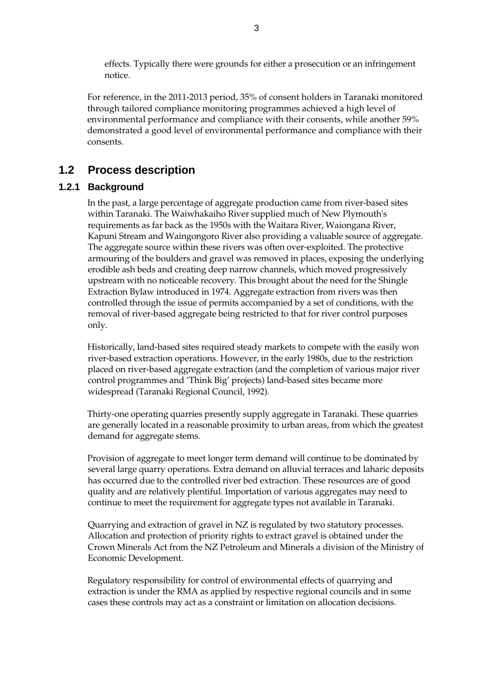effects. Typically there were grounds for either a prosecution or an infringement notice.

For reference, in the 2011-2013 period, 35% of consent holders in Taranaki monitored through tailored compliance monitoring programmes achieved a high level of environmental performance and compliance with their consents, while another 59% demonstrated a good level of environmental performance and compliance with their consents.

# **1.2 Process description**

#### **1.2.1 Background**

 In the past, a large percentage of aggregate production came from river-based sites within Taranaki. The Waiwhakaiho River supplied much of New Plymouth's requirements as far back as the 1950s with the Waitara River, Waiongana River, Kapuni Stream and Waingongoro River also providing a valuable source of aggregate. The aggregate source within these rivers was often over-exploited. The protective armouring of the boulders and gravel was removed in places, exposing the underlying erodible ash beds and creating deep narrow channels, which moved progressively upstream with no noticeable recovery. This brought about the need for the Shingle Extraction Bylaw introduced in 1974. Aggregate extraction from rivers was then controlled through the issue of permits accompanied by a set of conditions, with the removal of river-based aggregate being restricted to that for river control purposes only.

 Historically, land-based sites required steady markets to compete with the easily won river-based extraction operations. However, in the early 1980s, due to the restriction placed on river-based aggregate extraction (and the completion of various major river control programmes and 'Think Big' projects) land-based sites became more widespread (Taranaki Regional Council, 1992).

 Thirty-one operating quarries presently supply aggregate in Taranaki. These quarries are generally located in a reasonable proximity to urban areas, from which the greatest demand for aggregate stems.

 Provision of aggregate to meet longer term demand will continue to be dominated by several large quarry operations. Extra demand on alluvial terraces and laharic deposits has occurred due to the controlled river bed extraction. These resources are of good quality and are relatively plentiful. Importation of various aggregates may need to continue to meet the requirement for aggregate types not available in Taranaki.

 Quarrying and extraction of gravel in NZ is regulated by two statutory processes. Allocation and protection of priority rights to extract gravel is obtained under the Crown Minerals Act from the NZ Petroleum and Minerals a division of the Ministry of Economic Development.

Regulatory responsibility for control of environmental effects of quarrying and extraction is under the RMA as applied by respective regional councils and in some cases these controls may act as a constraint or limitation on allocation decisions.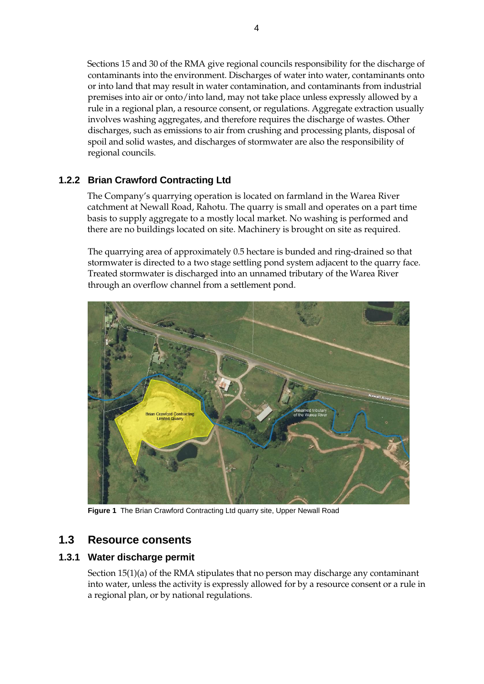Sections 15 and 30 of the RMA give regional councils responsibility for the discharge of contaminants into the environment. Discharges of water into water, contaminants onto or into land that may result in water contamination, and contaminants from industrial premises into air or onto/into land, may not take place unless expressly allowed by a rule in a regional plan, a resource consent, or regulations. Aggregate extraction usually involves washing aggregates, and therefore requires the discharge of wastes. Other discharges, such as emissions to air from crushing and processing plants, disposal of spoil and solid wastes, and discharges of stormwater are also the responsibility of regional councils.

#### **1.2.2 Brian Crawford Contracting Ltd**

The Company's quarrying operation is located on farmland in the Warea River catchment at Newall Road, Rahotu. The quarry is small and operates on a part time basis to supply aggregate to a mostly local market. No washing is performed and there are no buildings located on site. Machinery is brought on site as required.

The quarrying area of approximately 0.5 hectare is bunded and ring-drained so that stormwater is directed to a two stage settling pond system adjacent to the quarry face. Treated stormwater is discharged into an unnamed tributary of the Warea River through an overflow channel from a settlement pond.



**Figure 1** The Brian Crawford Contracting Ltd quarry site, Upper Newall Road

## **1.3 Resource consents**

#### **1.3.1 Water discharge permit**

Section 15(1)(a) of the RMA stipulates that no person may discharge any contaminant into water, unless the activity is expressly allowed for by a resource consent or a rule in a regional plan, or by national regulations.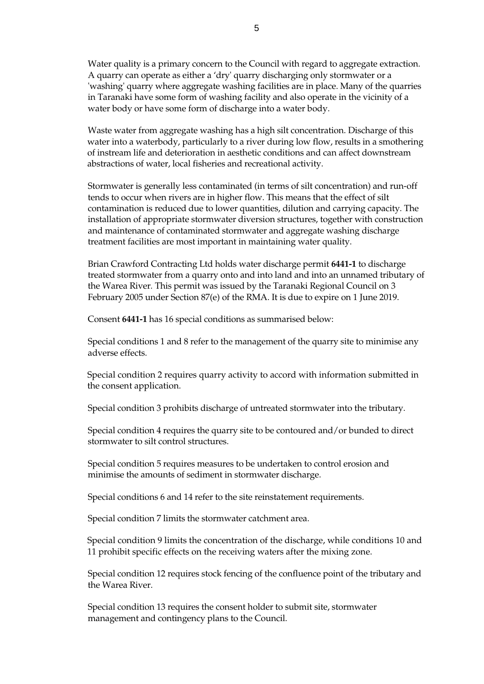Water quality is a primary concern to the Council with regard to aggregate extraction. A quarry can operate as either a 'dry' quarry discharging only stormwater or a 'washing' quarry where aggregate washing facilities are in place. Many of the quarries in Taranaki have some form of washing facility and also operate in the vicinity of a water body or have some form of discharge into a water body.

 Waste water from aggregate washing has a high silt concentration. Discharge of this water into a waterbody, particularly to a river during low flow, results in a smothering of instream life and deterioration in aesthetic conditions and can affect downstream abstractions of water, local fisheries and recreational activity.

Stormwater is generally less contaminated (in terms of silt concentration) and run-off tends to occur when rivers are in higher flow. This means that the effect of silt contamination is reduced due to lower quantities, dilution and carrying capacity. The installation of appropriate stormwater diversion structures, together with construction and maintenance of contaminated stormwater and aggregate washing discharge treatment facilities are most important in maintaining water quality.

Brian Crawford Contracting Ltd holds water discharge permit **6441-1** to discharge treated stormwater from a quarry onto and into land and into an unnamed tributary of the Warea River*.* This permit was issued by the Taranaki Regional Council on 3 February 2005 under Section 87(e) of the RMA. It is due to expire on 1 June 2019.

Consent **6441-1** has 16 special conditions as summarised below:

Special conditions 1 and 8 refer to the management of the quarry site to minimise any adverse effects.

Special condition 2 requires quarry activity to accord with information submitted in the consent application.

Special condition 3 prohibits discharge of untreated stormwater into the tributary.

Special condition 4 requires the quarry site to be contoured and/or bunded to direct stormwater to silt control structures.

Special condition 5 requires measures to be undertaken to control erosion and minimise the amounts of sediment in stormwater discharge.

Special conditions 6 and 14 refer to the site reinstatement requirements.

Special condition 7 limits the stormwater catchment area.

Special condition 9 limits the concentration of the discharge, while conditions 10 and 11 prohibit specific effects on the receiving waters after the mixing zone.

Special condition 12 requires stock fencing of the confluence point of the tributary and the Warea River.

Special condition 13 requires the consent holder to submit site, stormwater management and contingency plans to the Council.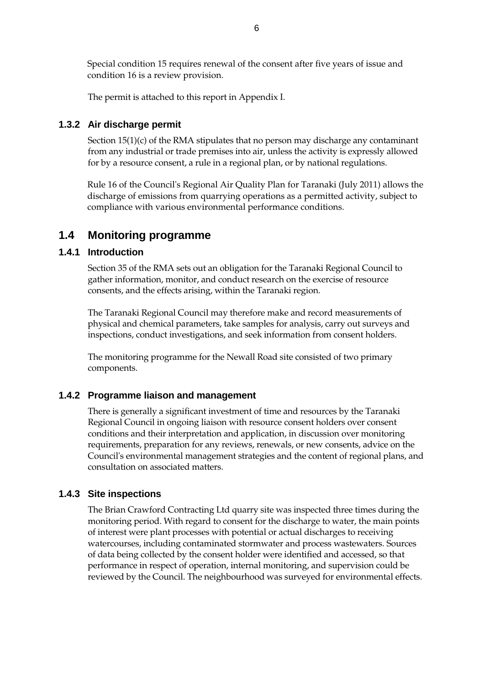Special condition 15 requires renewal of the consent after five years of issue and condition 16 is a review provision.

The permit is attached to this report in Appendix I.

#### **1.3.2 Air discharge permit**

Section  $15(1)(c)$  of the RMA stipulates that no person may discharge any contaminant from any industrial or trade premises into air, unless the activity is expressly allowed for by a resource consent, a rule in a regional plan, or by national regulations.

Rule 16 of the Council's Regional Air Quality Plan for Taranaki (July 2011) allows the discharge of emissions from quarrying operations as a permitted activity, subject to compliance with various environmental performance conditions.

#### **1.4 Monitoring programme**

#### **1.4.1 Introduction**

Section 35 of the RMA sets out an obligation for the Taranaki Regional Council to gather information, monitor, and conduct research on the exercise of resource consents, and the effects arising, within the Taranaki region.

The Taranaki Regional Council may therefore make and record measurements of physical and chemical parameters, take samples for analysis, carry out surveys and inspections, conduct investigations, and seek information from consent holders.

The monitoring programme for the Newall Road site consisted of two primary components.

#### **1.4.2 Programme liaison and management**

There is generally a significant investment of time and resources by the Taranaki Regional Council in ongoing liaison with resource consent holders over consent conditions and their interpretation and application, in discussion over monitoring requirements, preparation for any reviews, renewals, or new consents, advice on the Council's environmental management strategies and the content of regional plans, and consultation on associated matters.

#### **1.4.3 Site inspections**

The Brian Crawford Contracting Ltd quarry site was inspected three times during the monitoring period. With regard to consent for the discharge to water, the main points of interest were plant processes with potential or actual discharges to receiving watercourses, including contaminated stormwater and process wastewaters. Sources of data being collected by the consent holder were identified and accessed, so that performance in respect of operation, internal monitoring, and supervision could be reviewed by the Council. The neighbourhood was surveyed for environmental effects.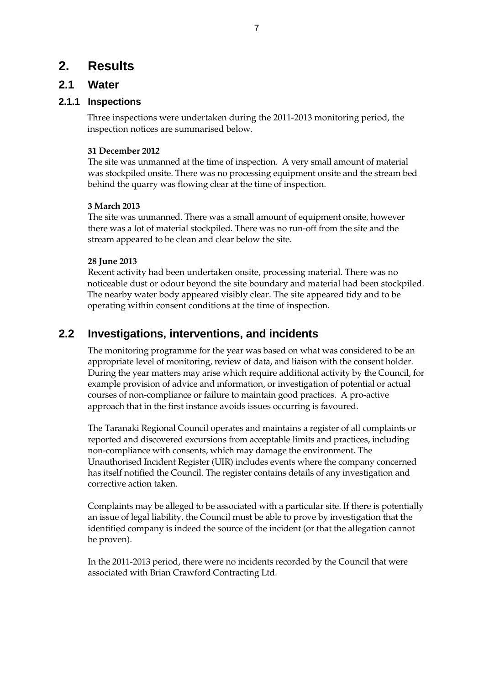# **2. Results**

## **2.1 Water**

#### **2.1.1 Inspections**

Three inspections were undertaken during the 2011-2013 monitoring period, the inspection notices are summarised below.

#### **31 December 2012**

The site was unmanned at the time of inspection. A very small amount of material was stockpiled onsite. There was no processing equipment onsite and the stream bed behind the quarry was flowing clear at the time of inspection.

#### **3 March 2013**

The site was unmanned. There was a small amount of equipment onsite, however there was a lot of material stockpiled. There was no run-off from the site and the stream appeared to be clean and clear below the site.

#### **28 June 2013**

 Recent activity had been undertaken onsite, processing material. There was no noticeable dust or odour beyond the site boundary and material had been stockpiled. The nearby water body appeared visibly clear. The site appeared tidy and to be operating within consent conditions at the time of inspection.

# **2.2 Investigations, interventions, and incidents**

The monitoring programme for the year was based on what was considered to be an appropriate level of monitoring, review of data, and liaison with the consent holder. During the year matters may arise which require additional activity by the Council, for example provision of advice and information, or investigation of potential or actual courses of non-compliance or failure to maintain good practices. A pro-active approach that in the first instance avoids issues occurring is favoured.

The Taranaki Regional Council operates and maintains a register of all complaints or reported and discovered excursions from acceptable limits and practices, including non-compliance with consents, which may damage the environment. The Unauthorised Incident Register (UIR) includes events where the company concerned has itself notified the Council. The register contains details of any investigation and corrective action taken.

Complaints may be alleged to be associated with a particular site. If there is potentially an issue of legal liability, the Council must be able to prove by investigation that the identified company is indeed the source of the incident (or that the allegation cannot be proven).

In the 2011-2013 period, there were no incidents recorded by the Council that were associated with Brian Crawford Contracting Ltd.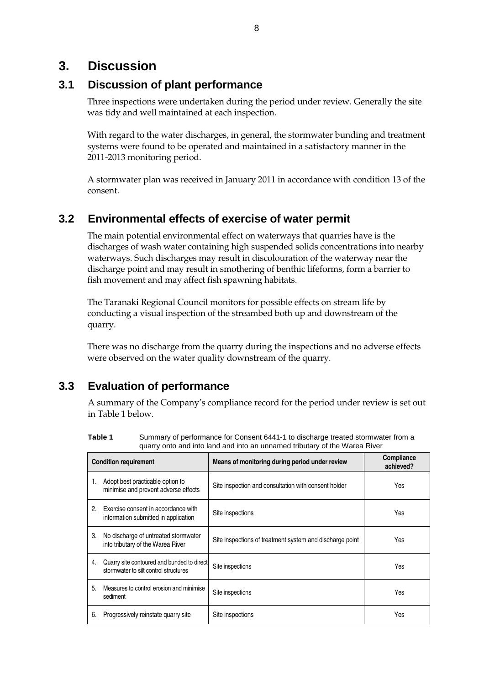# **3. Discussion**

# **3.1 Discussion of plant performance**

Three inspections were undertaken during the period under review. Generally the site was tidy and well maintained at each inspection.

With regard to the water discharges, in general, the stormwater bunding and treatment systems were found to be operated and maintained in a satisfactory manner in the 2011-2013 monitoring period.

A stormwater plan was received in January 2011 in accordance with condition 13 of the consent.

# **3.2 Environmental effects of exercise of water permit**

The main potential environmental effect on waterways that quarries have is the discharges of wash water containing high suspended solids concentrations into nearby waterways. Such discharges may result in discolouration of the waterway near the discharge point and may result in smothering of benthic lifeforms, form a barrier to fish movement and may affect fish spawning habitats.

The Taranaki Regional Council monitors for possible effects on stream life by conducting a visual inspection of the streambed both up and downstream of the quarry.

There was no discharge from the quarry during the inspections and no adverse effects were observed on the water quality downstream of the quarry.

# **3.3 Evaluation of performance**

A summary of the Company's compliance record for the period under review is set out in Table 1 below.

| Table 1 | Summary of performance for Consent 6441-1 to discharge treated stormwater from a |
|---------|----------------------------------------------------------------------------------|
|         | quarry onto and into land and into an unnamed tributary of the Warea River       |

| <b>Condition requirement</b> |                                                                                     | Means of monitoring during period under review           | <b>Compliance</b><br>achieved? |
|------------------------------|-------------------------------------------------------------------------------------|----------------------------------------------------------|--------------------------------|
| 1.                           | Adopt best practicable option to<br>minimise and prevent adverse effects            | Site inspection and consultation with consent holder     | Yes                            |
| 2.                           | Exercise consent in accordance with<br>information submitted in application         | Site inspections                                         | Yes                            |
| 3.                           | No discharge of untreated stormwater<br>into tributary of the Warea River           | Site inspections of treatment system and discharge point | Yes                            |
| 4.                           | Quarry site contoured and bunded to direct<br>stormwater to silt control structures | Site inspections                                         | Yes                            |
| 5.                           | Measures to control erosion and minimise<br>sediment                                | Site inspections                                         | Yes                            |
| 6.                           | Progressively reinstate guarry site                                                 | Site inspections                                         | Yes                            |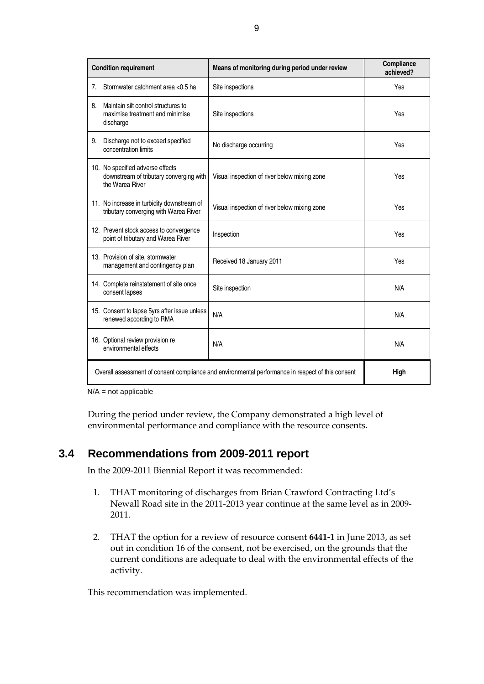| <b>Condition requirement</b>                                                                      |                                                                                                | Means of monitoring during period under review | Compliance<br>achieved? |
|---------------------------------------------------------------------------------------------------|------------------------------------------------------------------------------------------------|------------------------------------------------|-------------------------|
| 7 <sub>1</sub>                                                                                    | Stormwater catchment area <0.5 ha                                                              | Site inspections                               | Yes                     |
| 8.                                                                                                | Maintain silt control structures to<br>maximise treatment and minimise<br>discharge            | Site inspections                               | Yes                     |
| 9.                                                                                                | Discharge not to exceed specified<br>concentration limits                                      | No discharge occurring                         | Yes                     |
|                                                                                                   | 10. No specified adverse effects<br>downstream of tributary converging with<br>the Warea River | Visual inspection of river below mixing zone   | Yes                     |
|                                                                                                   | 11. No increase in turbidity downstream of<br>tributary converging with Warea River            | Visual inspection of river below mixing zone   | Yes                     |
|                                                                                                   | 12. Prevent stock access to convergence<br>point of tributary and Warea River                  | Inspection                                     | Yes                     |
|                                                                                                   | 13. Provision of site, stormwater<br>management and contingency plan                           | Received 18 January 2011                       | Yes                     |
|                                                                                                   | 14. Complete reinstatement of site once<br>consent lapses                                      | Site inspection                                | N/A                     |
|                                                                                                   | 15. Consent to lapse 5yrs after issue unless<br>renewed according to RMA                       | N/A                                            | N/A                     |
|                                                                                                   | 16. Optional review provision re<br>environmental effects                                      | N/A                                            | N/A                     |
| Overall assessment of consent compliance and environmental performance in respect of this consent |                                                                                                |                                                | High                    |

 $N/A$  = not applicable

During the period under review, the Company demonstrated a high level of environmental performance and compliance with the resource consents.

## **3.4 Recommendations from 2009-2011 report**

In the 2009-2011 Biennial Report it was recommended:

- 1. THAT monitoring of discharges from Brian Crawford Contracting Ltd's Newall Road site in the 2011-2013 year continue at the same level as in 2009- 2011.
- 2. THAT the option for a review of resource consent **6441-1** in June 2013, as set out in condition 16 of the consent, not be exercised, on the grounds that the current conditions are adequate to deal with the environmental effects of the activity.

This recommendation was implemented.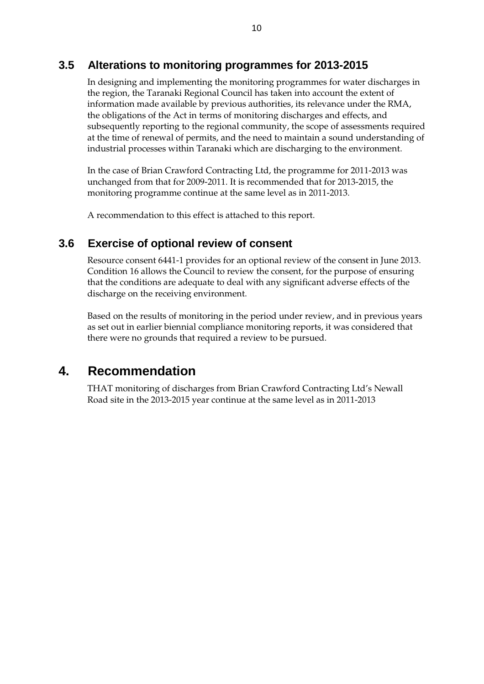## **3.5 Alterations to monitoring programmes for 2013-2015**

In designing and implementing the monitoring programmes for water discharges in the region, the Taranaki Regional Council has taken into account the extent of information made available by previous authorities, its relevance under the RMA, the obligations of the Act in terms of monitoring discharges and effects, and subsequently reporting to the regional community, the scope of assessments required at the time of renewal of permits, and the need to maintain a sound understanding of industrial processes within Taranaki which are discharging to the environment.

In the case of Brian Crawford Contracting Ltd, the programme for 2011-2013 was unchanged from that for 2009-2011. It is recommended that for 2013-2015, the monitoring programme continue at the same level as in 2011-2013.

A recommendation to this effect is attached to this report.

## **3.6 Exercise of optional review of consent**

Resource consent 6441-1 provides for an optional review of the consent in June 2013. Condition 16 allows the Council to review the consent, for the purpose of ensuring that the conditions are adequate to deal with any significant adverse effects of the discharge on the receiving environment.

Based on the results of monitoring in the period under review, and in previous years as set out in earlier biennial compliance monitoring reports, it was considered that there were no grounds that required a review to be pursued.

# **4. Recommendation**

THAT monitoring of discharges from Brian Crawford Contracting Ltd's Newall Road site in the 2013-2015 year continue at the same level as in 2011-2013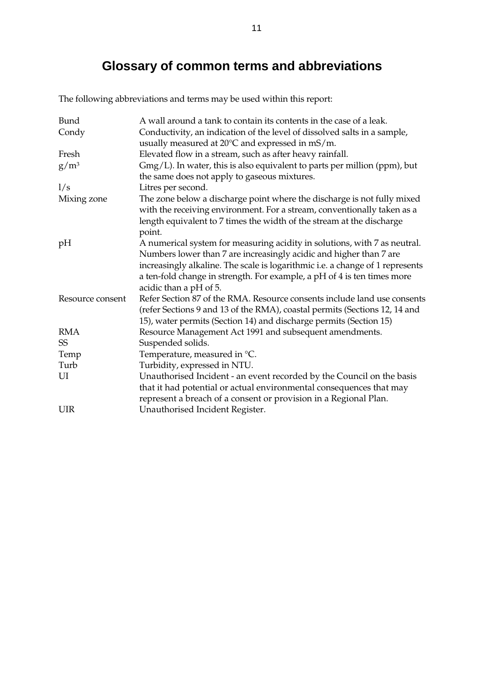# **Glossary of common terms and abbreviations**

The following abbreviations and terms may be used within this report:

| <b>Bund</b>      | A wall around a tank to contain its contents in the case of a leak.                                                          |  |
|------------------|------------------------------------------------------------------------------------------------------------------------------|--|
| Condy            | Conductivity, an indication of the level of dissolved salts in a sample,<br>usually measured at 20°C and expressed in mS/m.  |  |
| Fresh            | Elevated flow in a stream, such as after heavy rainfall.                                                                     |  |
| $g/m^3$          | $Gmg/L$ ). In water, this is also equivalent to parts per million (ppm), but<br>the same does not apply to gaseous mixtures. |  |
| 1/s              | Litres per second.                                                                                                           |  |
| Mixing zone      | The zone below a discharge point where the discharge is not fully mixed                                                      |  |
|                  | with the receiving environment. For a stream, conventionally taken as a                                                      |  |
|                  | length equivalent to 7 times the width of the stream at the discharge                                                        |  |
|                  | point.                                                                                                                       |  |
| pH               | A numerical system for measuring acidity in solutions, with 7 as neutral.                                                    |  |
|                  | Numbers lower than 7 are increasingly acidic and higher than 7 are                                                           |  |
|                  | increasingly alkaline. The scale is logarithmic i.e. a change of 1 represents                                                |  |
|                  | a ten-fold change in strength. For example, a pH of 4 is ten times more                                                      |  |
|                  | acidic than a pH of 5.                                                                                                       |  |
| Resource consent | Refer Section 87 of the RMA. Resource consents include land use consents                                                     |  |
|                  | (refer Sections 9 and 13 of the RMA), coastal permits (Sections 12, 14 and                                                   |  |
|                  | 15), water permits (Section 14) and discharge permits (Section 15)                                                           |  |
| <b>RMA</b>       | Resource Management Act 1991 and subsequent amendments.                                                                      |  |
| SS <sub></sub>   | Suspended solids.                                                                                                            |  |
| Temp             | Temperature, measured in °C.                                                                                                 |  |
| Turb             | Turbidity, expressed in NTU.                                                                                                 |  |
| UI               | Unauthorised Incident - an event recorded by the Council on the basis                                                        |  |
|                  | that it had potential or actual environmental consequences that may                                                          |  |
|                  | represent a breach of a consent or provision in a Regional Plan.                                                             |  |
| <b>UIR</b>       | Unauthorised Incident Register.                                                                                              |  |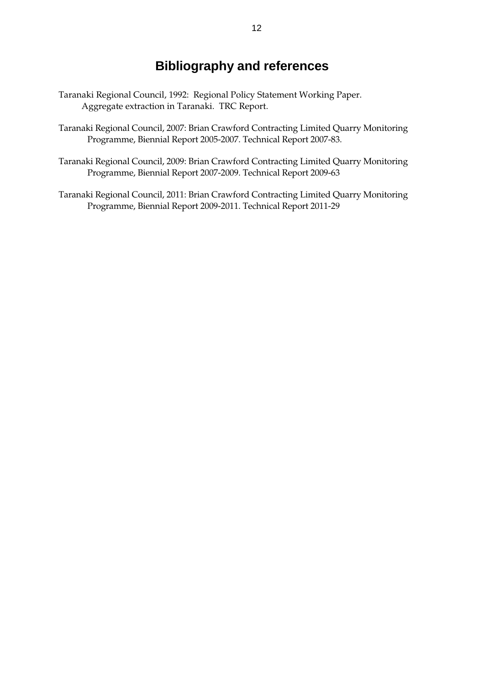# **Bibliography and references**

- Taranaki Regional Council, 1992: Regional Policy Statement Working Paper. Aggregate extraction in Taranaki. TRC Report.
- Taranaki Regional Council, 2007: Brian Crawford Contracting Limited Quarry Monitoring Programme, Biennial Report 2005-2007. Technical Report 2007-83.
- Taranaki Regional Council, 2009: Brian Crawford Contracting Limited Quarry Monitoring Programme, Biennial Report 2007-2009. Technical Report 2009-63
- Taranaki Regional Council, 2011: Brian Crawford Contracting Limited Quarry Monitoring Programme, Biennial Report 2009-2011. Technical Report 2011-29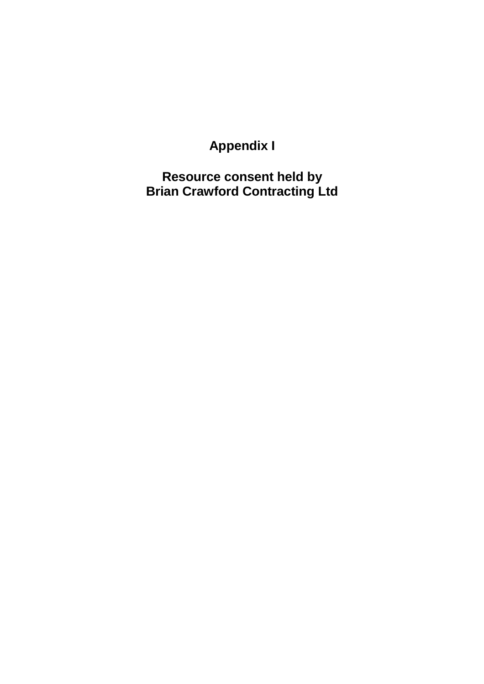**Appendix I** 

**Resource consent held by Brian Crawford Contracting Ltd**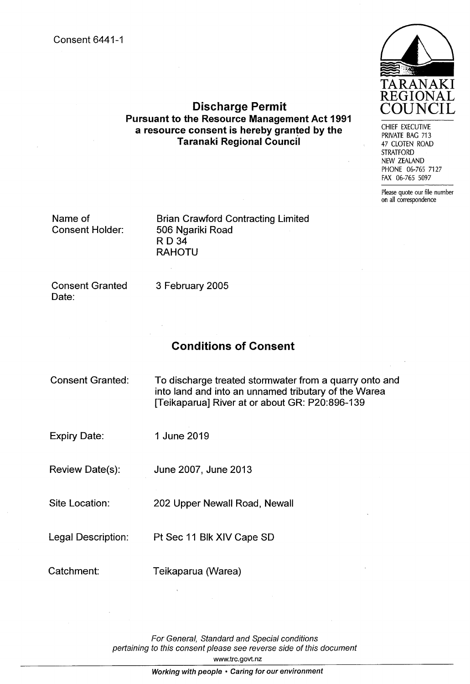

CHIEF EXECUTIVE PRIVATE BAG 713 47 CLOTEN ROAD **STRATFORD** NEW ZEALAND PHONE 06-765 7127 FAX 06-765 5097

Please quote our file number on all correspondence

# **Pursuant to the Resource Management Act 1991** a resource consent is hereby granted by the **Taranaki Regional Council**

**Discharge Permit** 

Name of **Consent Holder:**  **Brian Crawford Contracting Limited** 506 Ngariki Road **RD 34 RAHOTU** 

**Consent Granted** Date:

3 February 2005

# **Conditions of Consent**

| <b>Consent Granted:</b> | To discharge treated stormwater from a quarry onto and<br>into land and into an unnamed tributary of the Warea<br>[Teikaparua] River at or about GR: P20:896-139 |
|-------------------------|------------------------------------------------------------------------------------------------------------------------------------------------------------------|
| <b>Expiry Date:</b>     | 1 June 2019                                                                                                                                                      |
| Review Date(s):         | June 2007, June 2013                                                                                                                                             |
| Site Location:          | 202 Upper Newall Road, Newall                                                                                                                                    |
| Legal Description:      | Pt Sec 11 Blk XIV Cape SD                                                                                                                                        |
| Catchment:              | Teikaparua (Warea)                                                                                                                                               |

For General, Standard and Special conditions pertaining to this consent please see reverse side of this document www.trc.govt.nz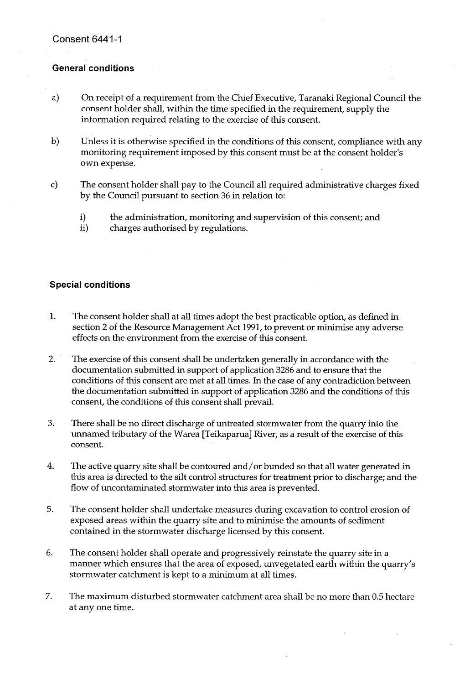#### **General conditions**

- $a)$ On receipt of a requirement from the Chief Executive, Taranaki Regional Council the consent holder shall, within the time specified in the requirement, supply the information required relating to the exercise of this consent.
- Unless it is otherwise specified in the conditions of this consent, compliance with any  $\mathbf{b}$ monitoring requirement imposed by this consent must be at the consent holder's own expense.
- The consent holder shall pay to the Council all required administrative charges fixed  $\mathbf{c}$ by the Council pursuant to section 36 in relation to:
	- i) the administration, monitoring and supervision of this consent; and
	- ii) charges authorised by regulations.

#### **Special conditions**

- 1. The consent holder shall at all times adopt the best practicable option, as defined in section 2 of the Resource Management Act 1991, to prevent or minimise any adverse effects on the environment from the exercise of this consent.
- $2.$ The exercise of this consent shall be undertaken generally in accordance with the documentation submitted in support of application 3286 and to ensure that the conditions of this consent are met at all times. In the case of any contradiction between the documentation submitted in support of application 3286 and the conditions of this consent, the conditions of this consent shall prevail.
- 3. There shall be no direct discharge of untreated stormwater from the quarry into the unnamed tributary of the Warea [Teikaparua] River, as a result of the exercise of this consent.
- 4. The active quarry site shall be contoured and/or bunded so that all water generated in this area is directed to the silt control structures for treatment prior to discharge; and the flow of uncontaminated stormwater into this area is prevented.
- 5. The consent holder shall undertake measures during excavation to control erosion of exposed areas within the quarry site and to minimise the amounts of sediment contained in the stormwater discharge licensed by this consent.
- 6. The consent holder shall operate and progressively reinstate the quarry site in a manner which ensures that the area of exposed, unvegetated earth within the quarry's stormwater catchment is kept to a minimum at all times.
- 7. The maximum disturbed stormwater catchment area shall be no more than 0.5 hectare at any one time.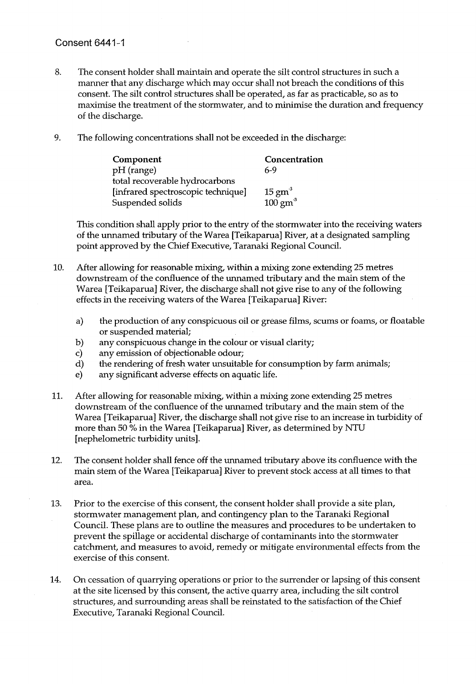#### **Consent 6441-1**

- 8. The consent holder shall maintain and operate the silt control structures in such a manner that any discharge which may occur shall not breach the conditions of this consent. The silt control structures shall be operated, as far as practicable, so as to maximise the treatment of the stormwater, and to minimise the duration and frequency of the discharge.
- 9. The following concentrations shall not be exceeded in the discharge:

| Component                          | Concentration      |
|------------------------------------|--------------------|
| pH (range)                         | 6-9                |
| total recoverable hydrocarbons     |                    |
| [infrared spectroscopic technique] | $15 \text{ gm}^3$  |
| Suspended solids                   | $100 \text{ gm}^3$ |

This condition shall apply prior to the entry of the stormwater into the receiving waters of the unnamed tributary of the Warea [Teikaparua] River, at a designated sampling point approved by the Chief Executive, Taranaki Regional Council.

- 10. After allowing for reasonable mixing, within a mixing zone extending 25 metres downstream of the confluence of the unnamed tributary and the main stem of the Warea [Teikaparua] River, the discharge shall not give rise to any of the following effects in the receiving waters of the Warea [Teikaparua] River:
	- the production of any conspicuous oil or grease films, scums or foams, or floatable  $a)$ or suspended material;
	- any conspicuous change in the colour or visual clarity;  $b)$
	- any emission of objectionable odour;  $\mathbf{c}$
	- the rendering of fresh water unsuitable for consumption by farm animals; d)
	- any significant adverse effects on aquatic life.  $e)$
- 11. After allowing for reasonable mixing, within a mixing zone extending 25 metres downstream of the confluence of the unnamed tributary and the main stem of the Warea [Teikaparua] River, the discharge shall not give rise to an increase in turbidity of more than 50 % in the Warea [Teikaparua] River, as determined by NTU [nephelometric turbidity units].
- The consent holder shall fence off the unnamed tributary above its confluence with the  $12.$ main stem of the Warea [Teikaparua] River to prevent stock access at all times to that area.
- 13. Prior to the exercise of this consent, the consent holder shall provide a site plan, stormwater management plan, and contingency plan to the Taranaki Regional Council. These plans are to outline the measures and procedures to be undertaken to prevent the spillage or accidental discharge of contaminants into the stormwater catchment, and measures to avoid, remedy or mitigate environmental effects from the exercise of this consent.
- 14. On cessation of quarrying operations or prior to the surrender or lapsing of this consent at the site licensed by this consent, the active quarry area, including the silt control structures, and surrounding areas shall be reinstated to the satisfaction of the Chief Executive, Taranaki Regional Council.